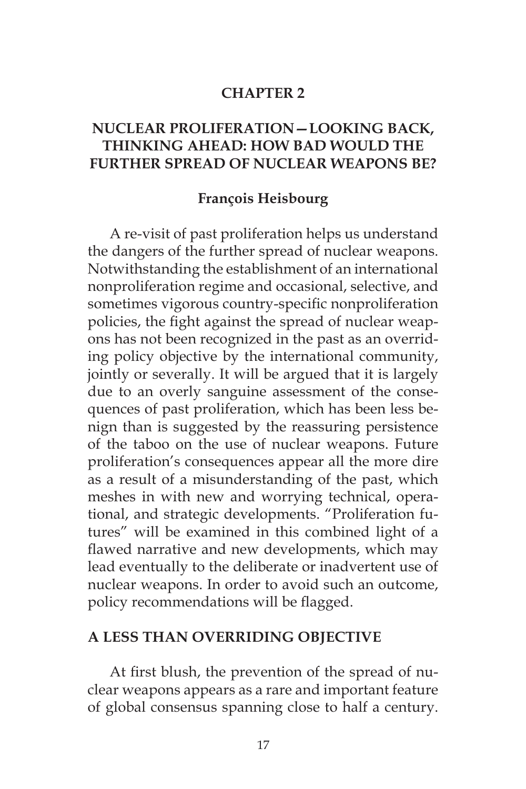#### **CHAPTER 2**

# **NUCLEAR PROLIFERATION—LOOKING BACK, THINKING AHEAD: HOW BAD WOULD THE FURTHER SPREAD OF NUCLEAR WEAPONS BE?**

#### **François Heisbourg**

A re-visit of past proliferation helps us understand the dangers of the further spread of nuclear weapons. Notwithstanding the establishment of an international nonproliferation regime and occasional, selective, and sometimes vigorous country-specific nonproliferation policies, the fight against the spread of nuclear weapons has not been recognized in the past as an overriding policy objective by the international community, jointly or severally. It will be argued that it is largely due to an overly sanguine assessment of the consequences of past proliferation, which has been less benign than is suggested by the reassuring persistence of the taboo on the use of nuclear weapons. Future proliferation's consequences appear all the more dire as a result of a misunderstanding of the past, which meshes in with new and worrying technical, operational, and strategic developments. "Proliferation futures" will be examined in this combined light of a flawed narrative and new developments, which may lead eventually to the deliberate or inadvertent use of nuclear weapons. In order to avoid such an outcome, policy recommendations will be flagged.

#### **A LESS THAN OVERRIDING OBJECTIVE**

At first blush, the prevention of the spread of nuclear weapons appears as a rare and important feature of global consensus spanning close to half a century.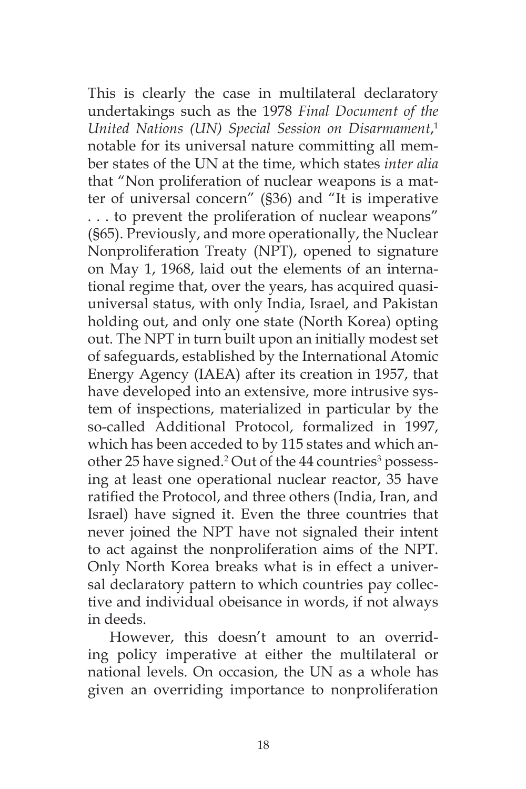This is clearly the case in multilateral declaratory undertakings such as the 1978 *Final Document of the United Nations (UN) Special Session on Disarmament*, 1 notable for its universal nature committing all member states of the UN at the time, which states *inter alia*  that "Non proliferation of nuclear weapons is a matter of universal concern" (§36) and "It is imperative . . . to prevent the proliferation of nuclear weapons" (§65). Previously, and more operationally, the Nuclear Nonproliferation Treaty (NPT), opened to signature on May 1, 1968, laid out the elements of an international regime that, over the years, has acquired quasiuniversal status, with only India, Israel, and Pakistan holding out, and only one state (North Korea) opting out. The NPT in turn built upon an initially modest set of safeguards, established by the International Atomic Energy Agency (IAEA) after its creation in 1957, that have developed into an extensive, more intrusive system of inspections, materialized in particular by the so-called Additional Protocol, formalized in 1997, which has been acceded to by 115 states and which another 25 have signed.<sup>2</sup> Out of the 44 countries<sup>3</sup> possessing at least one operational nuclear reactor, 35 have ratified the Protocol, and three others (India, Iran, and Israel) have signed it. Even the three countries that never joined the NPT have not signaled their intent to act against the nonproliferation aims of the NPT. Only North Korea breaks what is in effect a universal declaratory pattern to which countries pay collective and individual obeisance in words, if not always in deeds.

However, this doesn't amount to an overriding policy imperative at either the multilateral or national levels. On occasion, the UN as a whole has given an overriding importance to nonproliferation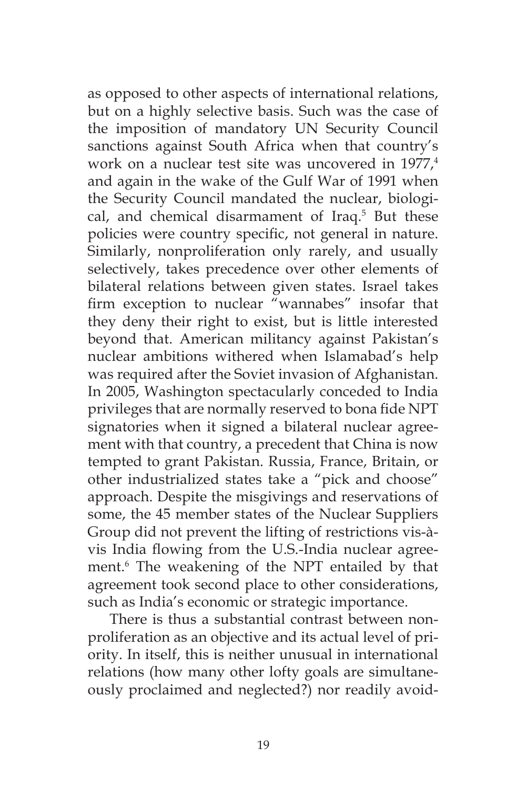as opposed to other aspects of international relations, but on a highly selective basis. Such was the case of the imposition of mandatory UN Security Council sanctions against South Africa when that country's work on a nuclear test site was uncovered in 1977.<sup>4</sup> and again in the wake of the Gulf War of 1991 when the Security Council mandated the nuclear, biological, and chemical disarmament of Iraq.<sup>5</sup> But these policies were country specific, not general in nature. Similarly, nonproliferation only rarely, and usually selectively, takes precedence over other elements of bilateral relations between given states. Israel takes firm exception to nuclear "wannabes" insofar that they deny their right to exist, but is little interested beyond that. American militancy against Pakistan's nuclear ambitions withered when Islamabad's help was required after the Soviet invasion of Afghanistan. In 2005, Washington spectacularly conceded to India privileges that are normally reserved to bona fide NPT signatories when it signed a bilateral nuclear agreement with that country, a precedent that China is now tempted to grant Pakistan. Russia, France, Britain, or other industrialized states take a "pick and choose" approach. Despite the misgivings and reservations of some, the 45 member states of the Nuclear Suppliers Group did not prevent the lifting of restrictions vis-àvis India flowing from the U.S.-India nuclear agreement.6 The weakening of the NPT entailed by that agreement took second place to other considerations, such as India's economic or strategic importance.

There is thus a substantial contrast between nonproliferation as an objective and its actual level of priority. In itself, this is neither unusual in international relations (how many other lofty goals are simultaneously proclaimed and neglected?) nor readily avoid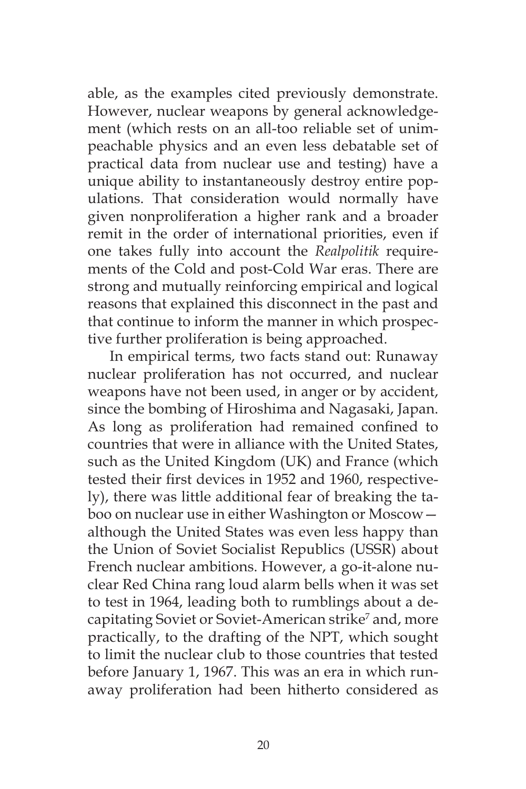able, as the examples cited previously demonstrate. However, nuclear weapons by general acknowledgement (which rests on an all-too reliable set of unimpeachable physics and an even less debatable set of practical data from nuclear use and testing) have a unique ability to instantaneously destroy entire populations. That consideration would normally have given nonproliferation a higher rank and a broader remit in the order of international priorities, even if one takes fully into account the *Realpolitik* requirements of the Cold and post-Cold War eras. There are strong and mutually reinforcing empirical and logical reasons that explained this disconnect in the past and that continue to inform the manner in which prospective further proliferation is being approached.

In empirical terms, two facts stand out: Runaway nuclear proliferation has not occurred, and nuclear weapons have not been used, in anger or by accident, since the bombing of Hiroshima and Nagasaki, Japan. As long as proliferation had remained confined to countries that were in alliance with the United States, such as the United Kingdom (UK) and France (which tested their first devices in 1952 and 1960, respectively), there was little additional fear of breaking the taboo on nuclear use in either Washington or Moscow although the United States was even less happy than the Union of Soviet Socialist Republics (USSR) about French nuclear ambitions. However, a go-it-alone nuclear Red China rang loud alarm bells when it was set to test in 1964, leading both to rumblings about a decapitating Soviet or Soviet-American strike<sup>7</sup> and, more practically, to the drafting of the NPT, which sought to limit the nuclear club to those countries that tested before January 1, 1967. This was an era in which runaway proliferation had been hitherto considered as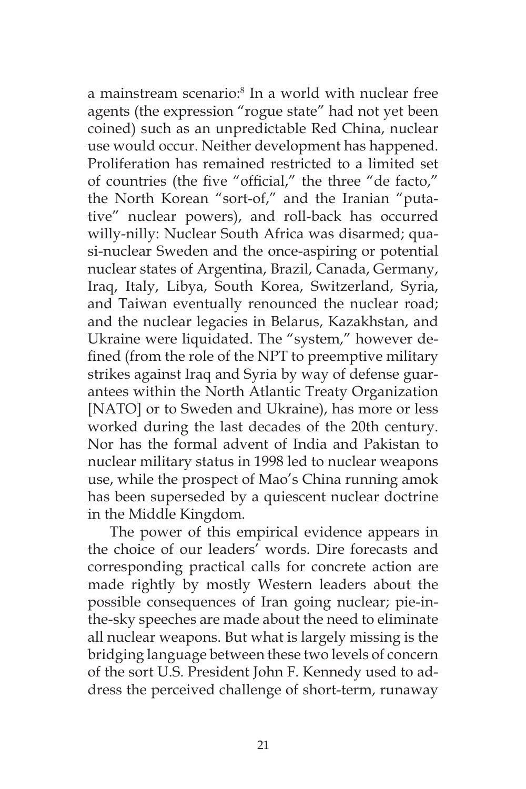a mainstream scenario:<sup>8</sup> In a world with nuclear free agents (the expression "rogue state" had not yet been coined) such as an unpredictable Red China, nuclear use would occur. Neither development has happened. Proliferation has remained restricted to a limited set of countries (the five "official," the three "de facto," the North Korean "sort-of," and the Iranian "putative" nuclear powers), and roll-back has occurred willy-nilly: Nuclear South Africa was disarmed; quasi-nuclear Sweden and the once-aspiring or potential nuclear states of Argentina, Brazil, Canada, Germany, Iraq, Italy, Libya, South Korea, Switzerland, Syria, and Taiwan eventually renounced the nuclear road; and the nuclear legacies in Belarus, Kazakhstan, and Ukraine were liquidated. The "system," however defined (from the role of the NPT to preemptive military strikes against Iraq and Syria by way of defense guarantees within the North Atlantic Treaty Organization [NATO] or to Sweden and Ukraine), has more or less worked during the last decades of the 20th century. Nor has the formal advent of India and Pakistan to nuclear military status in 1998 led to nuclear weapons use, while the prospect of Mao's China running amok has been superseded by a quiescent nuclear doctrine in the Middle Kingdom.

The power of this empirical evidence appears in the choice of our leaders' words. Dire forecasts and corresponding practical calls for concrete action are made rightly by mostly Western leaders about the possible consequences of Iran going nuclear; pie-inthe-sky speeches are made about the need to eliminate all nuclear weapons. But what is largely missing is the bridging language between these two levels of concern of the sort U.S. President John F. Kennedy used to address the perceived challenge of short-term, runaway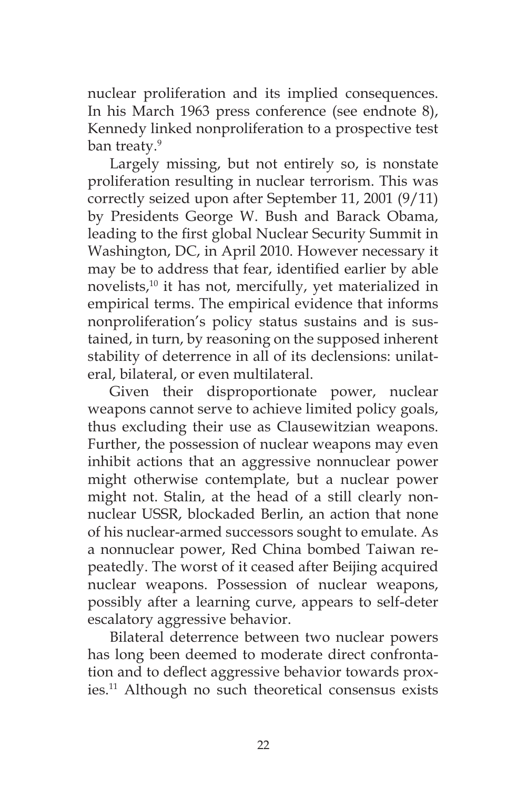nuclear proliferation and its implied consequences. In his March 1963 press conference (see endnote 8), Kennedy linked nonproliferation to a prospective test ban treaty.<sup>9</sup>

Largely missing, but not entirely so, is nonstate proliferation resulting in nuclear terrorism. This was correctly seized upon after September 11, 2001 (9/11) by Presidents George W. Bush and Barack Obama, leading to the first global Nuclear Security Summit in Washington, DC, in April 2010. However necessary it may be to address that fear, identified earlier by able novelists,<sup>10</sup> it has not, mercifully, yet materialized in empirical terms. The empirical evidence that informs nonproliferation's policy status sustains and is sustained, in turn, by reasoning on the supposed inherent stability of deterrence in all of its declensions: unilateral, bilateral, or even multilateral.

Given their disproportionate power, nuclear weapons cannot serve to achieve limited policy goals, thus excluding their use as Clausewitzian weapons. Further, the possession of nuclear weapons may even inhibit actions that an aggressive nonnuclear power might otherwise contemplate, but a nuclear power might not. Stalin, at the head of a still clearly nonnuclear USSR, blockaded Berlin, an action that none of his nuclear-armed successors sought to emulate. As a nonnuclear power, Red China bombed Taiwan repeatedly. The worst of it ceased after Beijing acquired nuclear weapons. Possession of nuclear weapons, possibly after a learning curve, appears to self-deter escalatory aggressive behavior.

Bilateral deterrence between two nuclear powers has long been deemed to moderate direct confrontation and to deflect aggressive behavior towards proxies.11 Although no such theoretical consensus exists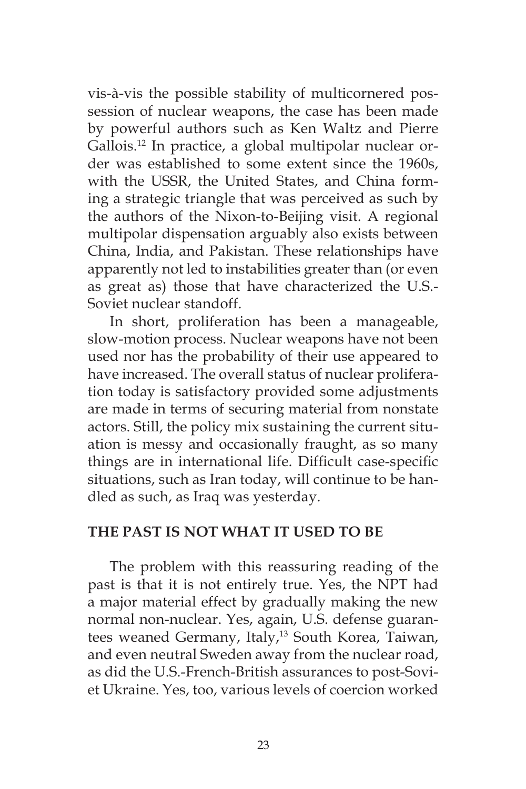vis-à-vis the possible stability of multicornered possession of nuclear weapons, the case has been made by powerful authors such as Ken Waltz and Pierre Gallois.12 In practice, a global multipolar nuclear order was established to some extent since the 1960s, with the USSR, the United States, and China forming a strategic triangle that was perceived as such by the authors of the Nixon-to-Beijing visit. A regional multipolar dispensation arguably also exists between China, India, and Pakistan. These relationships have apparently not led to instabilities greater than (or even as great as) those that have characterized the U.S.- Soviet nuclear standoff.

In short, proliferation has been a manageable, slow-motion process. Nuclear weapons have not been used nor has the probability of their use appeared to have increased. The overall status of nuclear proliferation today is satisfactory provided some adjustments are made in terms of securing material from nonstate actors. Still, the policy mix sustaining the current situation is messy and occasionally fraught, as so many things are in international life. Difficult case-specific situations, such as Iran today, will continue to be handled as such, as Iraq was yesterday.

### **THE PAST IS NOT WHAT IT USED TO BE**

The problem with this reassuring reading of the past is that it is not entirely true. Yes, the NPT had a major material effect by gradually making the new normal non-nuclear. Yes, again, U.S. defense guarantees weaned Germany, Italy,<sup>13</sup> South Korea, Taiwan, and even neutral Sweden away from the nuclear road, as did the U.S.-French-British assurances to post-Soviet Ukraine. Yes, too, various levels of coercion worked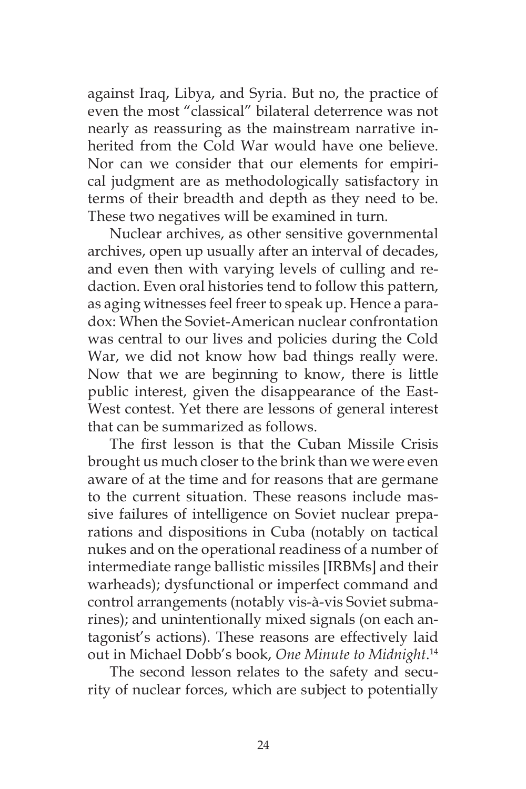against Iraq, Libya, and Syria. But no, the practice of even the most "classical" bilateral deterrence was not nearly as reassuring as the mainstream narrative inherited from the Cold War would have one believe. Nor can we consider that our elements for empirical judgment are as methodologically satisfactory in terms of their breadth and depth as they need to be. These two negatives will be examined in turn.

Nuclear archives, as other sensitive governmental archives, open up usually after an interval of decades, and even then with varying levels of culling and redaction. Even oral histories tend to follow this pattern, as aging witnesses feel freer to speak up. Hence a paradox: When the Soviet-American nuclear confrontation was central to our lives and policies during the Cold War, we did not know how bad things really were. Now that we are beginning to know, there is little public interest, given the disappearance of the East-West contest. Yet there are lessons of general interest that can be summarized as follows.

The first lesson is that the Cuban Missile Crisis brought us much closer to the brink than we were even aware of at the time and for reasons that are germane to the current situation. These reasons include massive failures of intelligence on Soviet nuclear preparations and dispositions in Cuba (notably on tactical nukes and on the operational readiness of a number of intermediate range ballistic missiles [IRBMs] and their warheads); dysfunctional or imperfect command and control arrangements (notably vis-à-vis Soviet submarines); and unintentionally mixed signals (on each antagonist's actions). These reasons are effectively laid out in Michael Dobb's book, *One Minute to Midnight*. 14

The second lesson relates to the safety and security of nuclear forces, which are subject to potentially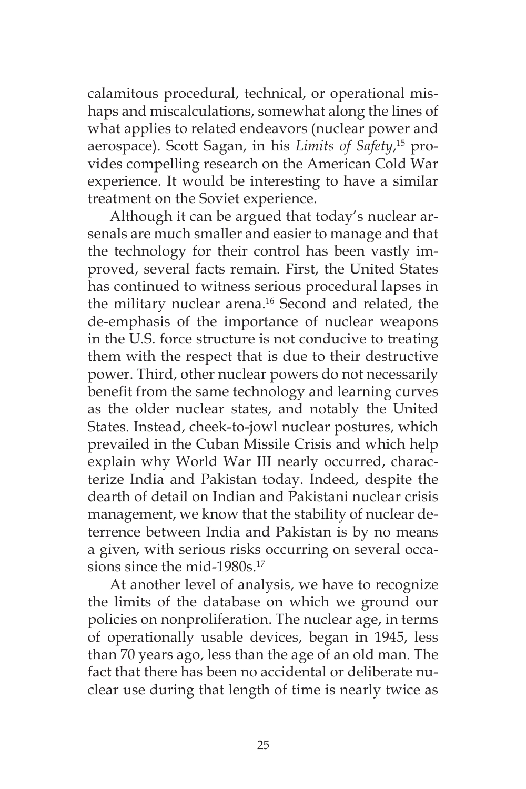calamitous procedural, technical, or operational mishaps and miscalculations, somewhat along the lines of what applies to related endeavors (nuclear power and aerospace). Scott Sagan, in his *Limits of Safety*, 15 provides compelling research on the American Cold War experience. It would be interesting to have a similar treatment on the Soviet experience.

Although it can be argued that today's nuclear arsenals are much smaller and easier to manage and that the technology for their control has been vastly improved, several facts remain. First, the United States has continued to witness serious procedural lapses in the military nuclear arena.<sup>16</sup> Second and related, the de-emphasis of the importance of nuclear weapons in the U.S. force structure is not conducive to treating them with the respect that is due to their destructive power. Third, other nuclear powers do not necessarily benefit from the same technology and learning curves as the older nuclear states, and notably the United States. Instead, cheek-to-jowl nuclear postures, which prevailed in the Cuban Missile Crisis and which help explain why World War III nearly occurred, characterize India and Pakistan today. Indeed, despite the dearth of detail on Indian and Pakistani nuclear crisis management, we know that the stability of nuclear deterrence between India and Pakistan is by no means a given, with serious risks occurring on several occasions since the mid-1980s.<sup>17</sup>

At another level of analysis, we have to recognize the limits of the database on which we ground our policies on nonproliferation. The nuclear age, in terms of operationally usable devices, began in 1945, less than 70 years ago, less than the age of an old man. The fact that there has been no accidental or deliberate nuclear use during that length of time is nearly twice as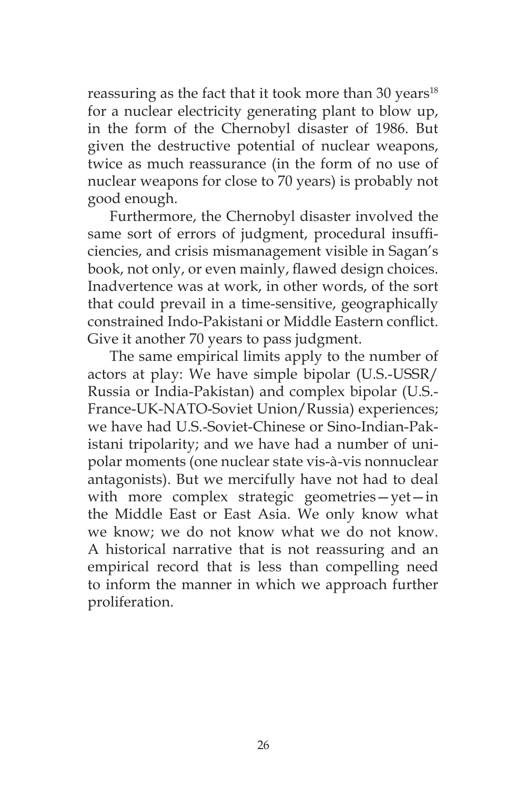reassuring as the fact that it took more than 30 years<sup>18</sup> for a nuclear electricity generating plant to blow up, in the form of the Chernobyl disaster of 1986. But given the destructive potential of nuclear weapons, twice as much reassurance (in the form of no use of nuclear weapons for close to 70 years) is probably not good enough.

Furthermore, the Chernobyl disaster involved the same sort of errors of judgment, procedural insufficiencies, and crisis mismanagement visible in Sagan's book, not only, or even mainly, flawed design choices. Inadvertence was at work, in other words, of the sort that could prevail in a time-sensitive, geographically constrained Indo-Pakistani or Middle Eastern conflict. Give it another 70 years to pass judgment.

The same empirical limits apply to the number of actors at play: We have simple bipolar (U.S.-USSR/ Russia or India-Pakistan) and complex bipolar (U.S.- France-UK-NATO-Soviet Union/Russia) experiences; we have had U.S.-Soviet-Chinese or Sino-Indian-Pakistani tripolarity; and we have had a number of unipolar moments (one nuclear state vis-à-vis nonnuclear antagonists). But we mercifully have not had to deal with more complex strategic geometries—yet—in the Middle East or East Asia. We only know what we know; we do not know what we do not know. A historical narrative that is not reassuring and an empirical record that is less than compelling need to inform the manner in which we approach further proliferation.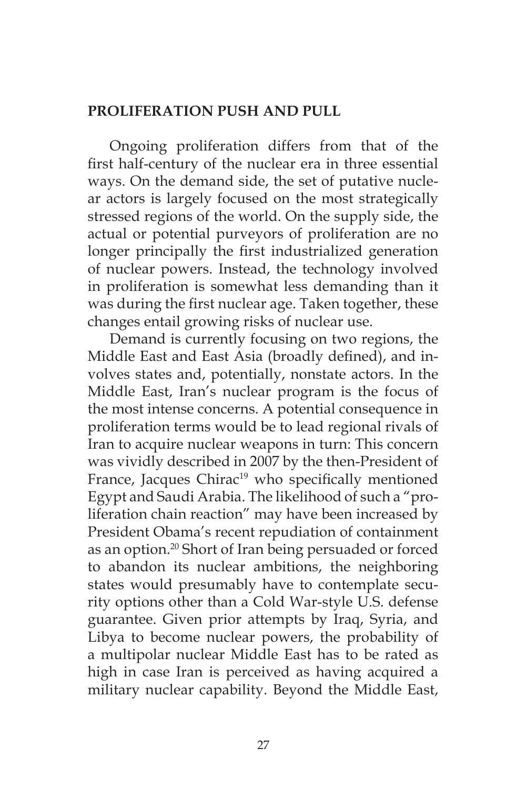## **PROLIFERATION PUSH AND PULL**

Ongoing proliferation differs from that of the first half-century of the nuclear era in three essential ways. On the demand side, the set of putative nuclear actors is largely focused on the most strategically stressed regions of the world. On the supply side, the actual or potential purveyors of proliferation are no longer principally the first industrialized generation of nuclear powers. Instead, the technology involved in proliferation is somewhat less demanding than it was during the first nuclear age. Taken together, these changes entail growing risks of nuclear use.

Demand is currently focusing on two regions, the Middle East and East Asia (broadly defined), and involves states and, potentially, nonstate actors. In the Middle East, Iran's nuclear program is the focus of the most intense concerns. A potential consequence in proliferation terms would be to lead regional rivals of Iran to acquire nuclear weapons in turn: This concern was vividly described in 2007 by the then-President of France, Jacques Chirac<sup>19</sup> who specifically mentioned Egypt and Saudi Arabia. The likelihood of such a "proliferation chain reaction" may have been increased by President Obama's recent repudiation of containment as an option.20 Short of Iran being persuaded or forced to abandon its nuclear ambitions, the neighboring states would presumably have to contemplate security options other than a Cold War-style U.S. defense guarantee. Given prior attempts by Iraq, Syria, and Libya to become nuclear powers, the probability of a multipolar nuclear Middle East has to be rated as high in case Iran is perceived as having acquired a military nuclear capability. Beyond the Middle East,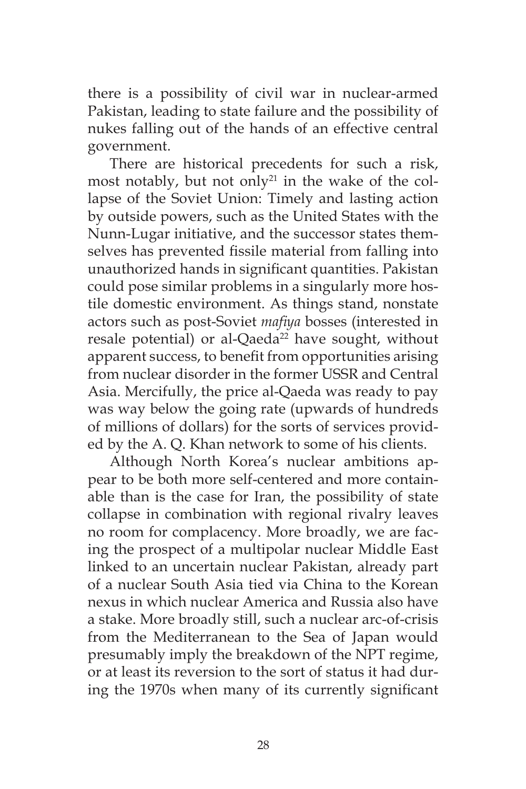there is a possibility of civil war in nuclear-armed Pakistan, leading to state failure and the possibility of nukes falling out of the hands of an effective central government.

There are historical precedents for such a risk, most notably, but not only $21$  in the wake of the collapse of the Soviet Union: Timely and lasting action by outside powers, such as the United States with the Nunn-Lugar initiative, and the successor states themselves has prevented fissile material from falling into unauthorized hands in significant quantities. Pakistan could pose similar problems in a singularly more hostile domestic environment. As things stand, nonstate actors such as post-Soviet *mafiya* bosses (interested in resale potential) or al-Qaeda<sup>22</sup> have sought, without apparent success, to benefit from opportunities arising from nuclear disorder in the former USSR and Central Asia. Mercifully, the price al-Qaeda was ready to pay was way below the going rate (upwards of hundreds of millions of dollars) for the sorts of services provided by the A. Q. Khan network to some of his clients.

Although North Korea's nuclear ambitions appear to be both more self-centered and more containable than is the case for Iran, the possibility of state collapse in combination with regional rivalry leaves no room for complacency. More broadly, we are facing the prospect of a multipolar nuclear Middle East linked to an uncertain nuclear Pakistan, already part of a nuclear South Asia tied via China to the Korean nexus in which nuclear America and Russia also have a stake. More broadly still, such a nuclear arc-of-crisis from the Mediterranean to the Sea of Japan would presumably imply the breakdown of the NPT regime, or at least its reversion to the sort of status it had during the 1970s when many of its currently significant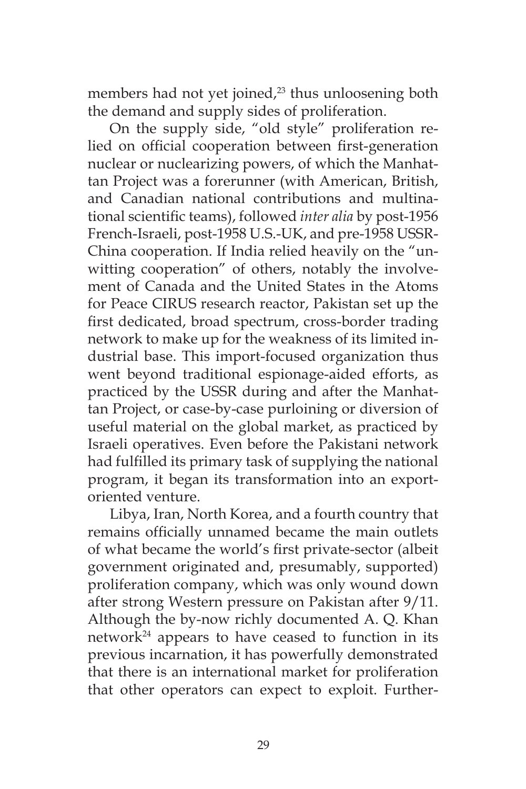members had not yet joined,<sup>23</sup> thus unloosening both the demand and supply sides of proliferation.

On the supply side, "old style" proliferation relied on official cooperation between first-generation nuclear or nuclearizing powers, of which the Manhattan Project was a forerunner (with American, British, and Canadian national contributions and multinational scientific teams), followed *inter alia* by post-1956 French-Israeli, post-1958 U.S.-UK, and pre-1958 USSR-China cooperation. If India relied heavily on the "unwitting cooperation" of others, notably the involvement of Canada and the United States in the Atoms for Peace CIRUS research reactor, Pakistan set up the first dedicated, broad spectrum, cross-border trading network to make up for the weakness of its limited industrial base. This import-focused organization thus went beyond traditional espionage-aided efforts, as practiced by the USSR during and after the Manhattan Project, or case-by-case purloining or diversion of useful material on the global market, as practiced by Israeli operatives. Even before the Pakistani network had fulfilled its primary task of supplying the national program, it began its transformation into an exportoriented venture.

Libya, Iran, North Korea, and a fourth country that remains officially unnamed became the main outlets of what became the world's first private-sector (albeit government originated and, presumably, supported) proliferation company, which was only wound down after strong Western pressure on Pakistan after 9/11. Although the by-now richly documented A. Q. Khan network $24$  appears to have ceased to function in its previous incarnation, it has powerfully demonstrated that there is an international market for proliferation that other operators can expect to exploit. Further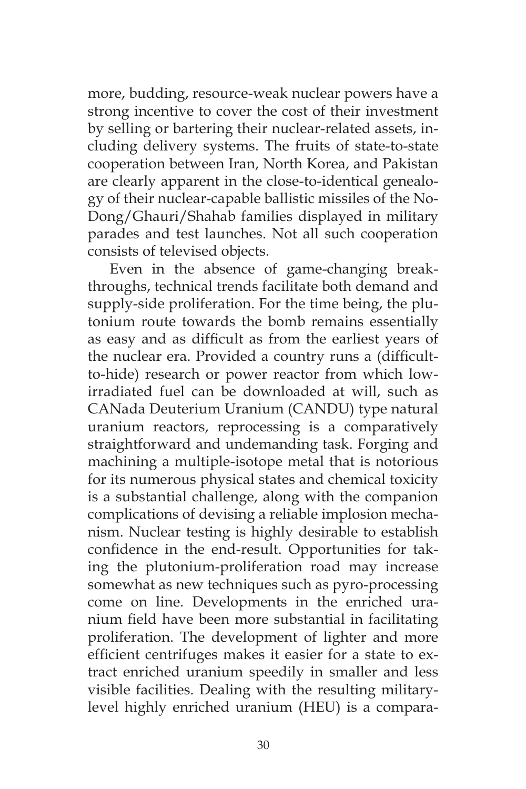more, budding, resource-weak nuclear powers have a strong incentive to cover the cost of their investment by selling or bartering their nuclear-related assets, including delivery systems. The fruits of state-to-state cooperation between Iran, North Korea, and Pakistan are clearly apparent in the close-to-identical genealogy of their nuclear-capable ballistic missiles of the No-Dong/Ghauri/Shahab families displayed in military parades and test launches. Not all such cooperation consists of televised objects.

Even in the absence of game-changing breakthroughs, technical trends facilitate both demand and supply-side proliferation. For the time being, the plutonium route towards the bomb remains essentially as easy and as difficult as from the earliest years of the nuclear era. Provided a country runs a (difficultto-hide) research or power reactor from which lowirradiated fuel can be downloaded at will, such as CANada Deuterium Uranium (CANDU) type natural uranium reactors, reprocessing is a comparatively straightforward and undemanding task. Forging and machining a multiple-isotope metal that is notorious for its numerous physical states and chemical toxicity is a substantial challenge, along with the companion complications of devising a reliable implosion mechanism. Nuclear testing is highly desirable to establish confidence in the end-result. Opportunities for taking the plutonium-proliferation road may increase somewhat as new techniques such as pyro-processing come on line. Developments in the enriched uranium field have been more substantial in facilitating proliferation. The development of lighter and more efficient centrifuges makes it easier for a state to extract enriched uranium speedily in smaller and less visible facilities. Dealing with the resulting militarylevel highly enriched uranium (HEU) is a compara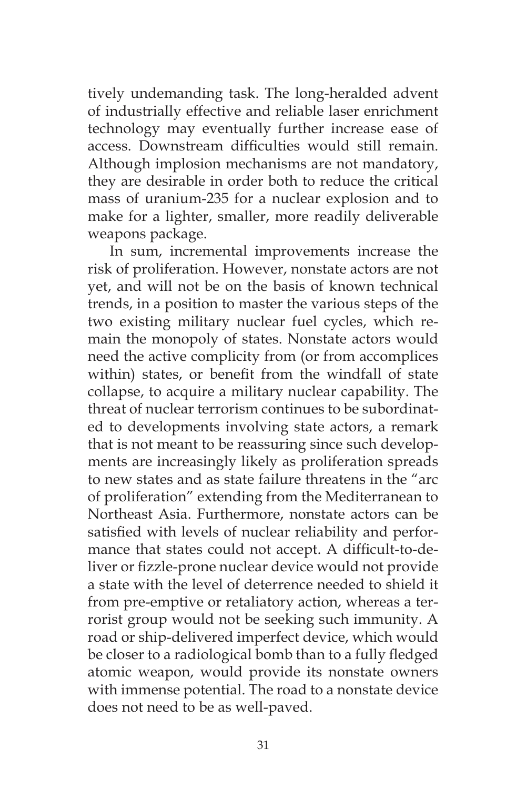tively undemanding task. The long-heralded advent of industrially effective and reliable laser enrichment technology may eventually further increase ease of access. Downstream difficulties would still remain. Although implosion mechanisms are not mandatory, they are desirable in order both to reduce the critical mass of uranium-235 for a nuclear explosion and to make for a lighter, smaller, more readily deliverable weapons package.

In sum, incremental improvements increase the risk of proliferation. However, nonstate actors are not yet, and will not be on the basis of known technical trends, in a position to master the various steps of the two existing military nuclear fuel cycles, which remain the monopoly of states. Nonstate actors would need the active complicity from (or from accomplices within) states, or benefit from the windfall of state collapse, to acquire a military nuclear capability. The threat of nuclear terrorism continues to be subordinated to developments involving state actors, a remark that is not meant to be reassuring since such developments are increasingly likely as proliferation spreads to new states and as state failure threatens in the "arc of proliferation" extending from the Mediterranean to Northeast Asia. Furthermore, nonstate actors can be satisfied with levels of nuclear reliability and performance that states could not accept. A difficult-to-deliver or fizzle-prone nuclear device would not provide a state with the level of deterrence needed to shield it from pre-emptive or retaliatory action, whereas a terrorist group would not be seeking such immunity. A road or ship-delivered imperfect device, which would be closer to a radiological bomb than to a fully fledged atomic weapon, would provide its nonstate owners with immense potential. The road to a nonstate device does not need to be as well-paved.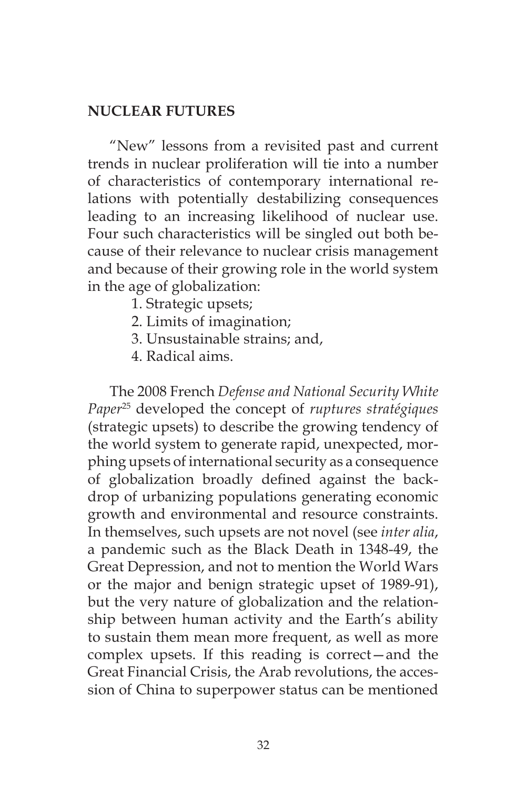### **NUCLEAR FUTURES**

"New" lessons from a revisited past and current trends in nuclear proliferation will tie into a number of characteristics of contemporary international relations with potentially destabilizing consequences leading to an increasing likelihood of nuclear use. Four such characteristics will be singled out both because of their relevance to nuclear crisis management and because of their growing role in the world system in the age of globalization:

- 1. Strategic upsets;
- 2. Limits of imagination;
- 3. Unsustainable strains; and,
- 4. Radical aims.

The 2008 French *Defense and National Security White Paper*25 developed the concept of *ruptures stratégiques* (strategic upsets) to describe the growing tendency of the world system to generate rapid, unexpected, morphing upsets of international security as a consequence of globalization broadly defined against the backdrop of urbanizing populations generating economic growth and environmental and resource constraints. In themselves, such upsets are not novel (see *inter alia*, a pandemic such as the Black Death in 1348-49, the Great Depression, and not to mention the World Wars or the major and benign strategic upset of 1989-91), but the very nature of globalization and the relationship between human activity and the Earth's ability to sustain them mean more frequent, as well as more complex upsets. If this reading is correct—and the Great Financial Crisis, the Arab revolutions, the accession of China to superpower status can be mentioned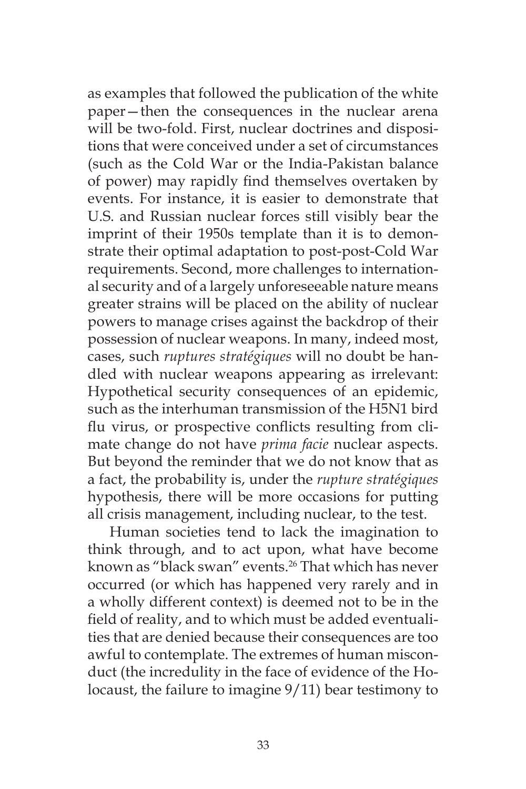as examples that followed the publication of the white paper—then the consequences in the nuclear arena will be two-fold. First, nuclear doctrines and dispositions that were conceived under a set of circumstances (such as the Cold War or the India-Pakistan balance of power) may rapidly find themselves overtaken by events. For instance, it is easier to demonstrate that U.S. and Russian nuclear forces still visibly bear the imprint of their 1950s template than it is to demonstrate their optimal adaptation to post-post-Cold War requirements. Second, more challenges to international security and of a largely unforeseeable nature means greater strains will be placed on the ability of nuclear powers to manage crises against the backdrop of their possession of nuclear weapons. In many, indeed most, cases, such *ruptures stratégiques* will no doubt be handled with nuclear weapons appearing as irrelevant: Hypothetical security consequences of an epidemic, such as the interhuman transmission of the H5N1 bird flu virus, or prospective conflicts resulting from climate change do not have *prima facie* nuclear aspects. But beyond the reminder that we do not know that as a fact, the probability is, under the *rupture stratégiques* hypothesis, there will be more occasions for putting all crisis management, including nuclear, to the test.

Human societies tend to lack the imagination to think through, and to act upon, what have become known as "black swan" events.26 That which has never occurred (or which has happened very rarely and in a wholly different context) is deemed not to be in the field of reality, and to which must be added eventualities that are denied because their consequences are too awful to contemplate. The extremes of human misconduct (the incredulity in the face of evidence of the Holocaust, the failure to imagine 9/11) bear testimony to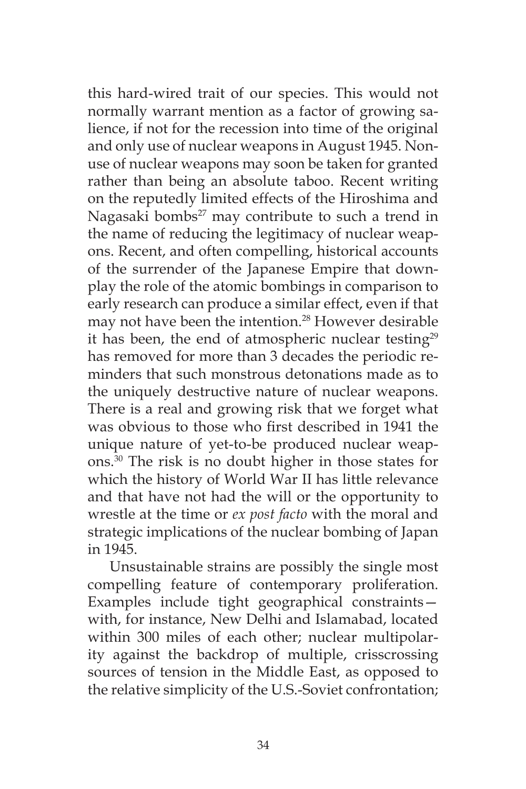this hard-wired trait of our species. This would not normally warrant mention as a factor of growing salience, if not for the recession into time of the original and only use of nuclear weapons in August 1945. Nonuse of nuclear weapons may soon be taken for granted rather than being an absolute taboo. Recent writing on the reputedly limited effects of the Hiroshima and Nagasaki bombs $^{27}$  may contribute to such a trend in the name of reducing the legitimacy of nuclear weapons. Recent, and often compelling, historical accounts of the surrender of the Japanese Empire that downplay the role of the atomic bombings in comparison to early research can produce a similar effect, even if that may not have been the intention.<sup>28</sup> However desirable it has been, the end of atmospheric nuclear testing<sup>29</sup> has removed for more than 3 decades the periodic reminders that such monstrous detonations made as to the uniquely destructive nature of nuclear weapons. There is a real and growing risk that we forget what was obvious to those who first described in 1941 the unique nature of yet-to-be produced nuclear weapons.30 The risk is no doubt higher in those states for which the history of World War II has little relevance and that have not had the will or the opportunity to wrestle at the time or *ex post facto* with the moral and strategic implications of the nuclear bombing of Japan in 1945.

Unsustainable strains are possibly the single most compelling feature of contemporary proliferation. Examples include tight geographical constraints with, for instance, New Delhi and Islamabad, located within 300 miles of each other; nuclear multipolarity against the backdrop of multiple, crisscrossing sources of tension in the Middle East, as opposed to the relative simplicity of the U.S.-Soviet confrontation;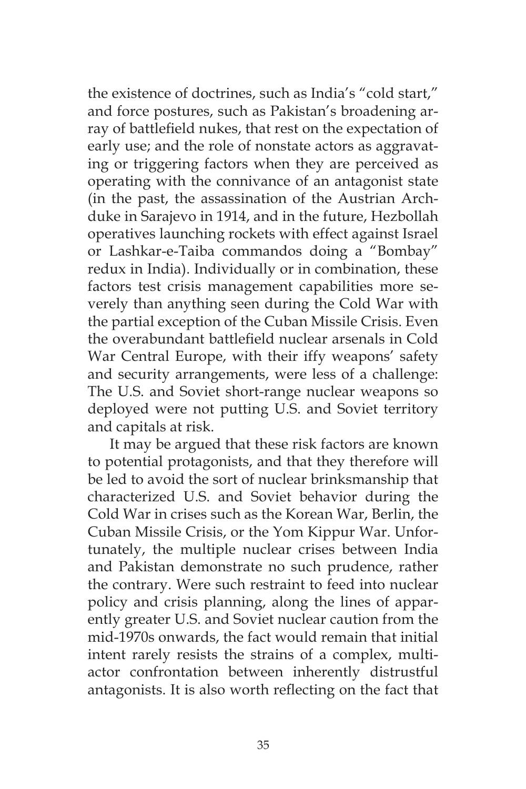the existence of doctrines, such as India's "cold start," and force postures, such as Pakistan's broadening array of battlefield nukes, that rest on the expectation of early use; and the role of nonstate actors as aggravating or triggering factors when they are perceived as operating with the connivance of an antagonist state (in the past, the assassination of the Austrian Archduke in Sarajevo in 1914, and in the future, Hezbollah operatives launching rockets with effect against Israel or Lashkar-e-Taiba commandos doing a "Bombay" redux in India). Individually or in combination, these factors test crisis management capabilities more severely than anything seen during the Cold War with the partial exception of the Cuban Missile Crisis. Even the overabundant battlefield nuclear arsenals in Cold War Central Europe, with their iffy weapons' safety and security arrangements, were less of a challenge: The U.S. and Soviet short-range nuclear weapons so deployed were not putting U.S. and Soviet territory and capitals at risk.

It may be argued that these risk factors are known to potential protagonists, and that they therefore will be led to avoid the sort of nuclear brinksmanship that characterized U.S. and Soviet behavior during the Cold War in crises such as the Korean War, Berlin, the Cuban Missile Crisis, or the Yom Kippur War. Unfortunately, the multiple nuclear crises between India and Pakistan demonstrate no such prudence, rather the contrary. Were such restraint to feed into nuclear policy and crisis planning, along the lines of apparently greater U.S. and Soviet nuclear caution from the mid-1970s onwards, the fact would remain that initial intent rarely resists the strains of a complex, multiactor confrontation between inherently distrustful antagonists. It is also worth reflecting on the fact that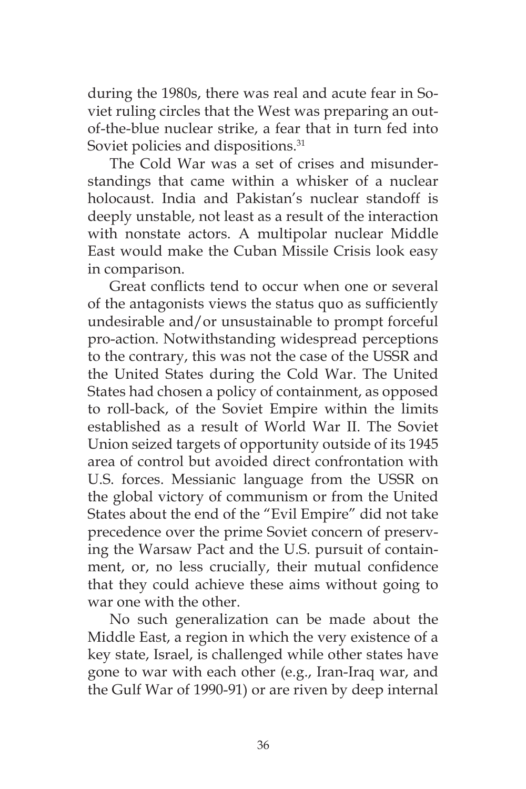during the 1980s, there was real and acute fear in Soviet ruling circles that the West was preparing an outof-the-blue nuclear strike, a fear that in turn fed into Soviet policies and dispositions.<sup>31</sup>

The Cold War was a set of crises and misunderstandings that came within a whisker of a nuclear holocaust. India and Pakistan's nuclear standoff is deeply unstable, not least as a result of the interaction with nonstate actors. A multipolar nuclear Middle East would make the Cuban Missile Crisis look easy in comparison.

Great conflicts tend to occur when one or several of the antagonists views the status quo as sufficiently undesirable and/or unsustainable to prompt forceful pro-action. Notwithstanding widespread perceptions to the contrary, this was not the case of the USSR and the United States during the Cold War. The United States had chosen a policy of containment, as opposed to roll-back, of the Soviet Empire within the limits established as a result of World War II. The Soviet Union seized targets of opportunity outside of its 1945 area of control but avoided direct confrontation with U.S. forces. Messianic language from the USSR on the global victory of communism or from the United States about the end of the "Evil Empire" did not take precedence over the prime Soviet concern of preserving the Warsaw Pact and the U.S. pursuit of containment, or, no less crucially, their mutual confidence that they could achieve these aims without going to war one with the other.

No such generalization can be made about the Middle East, a region in which the very existence of a key state, Israel, is challenged while other states have gone to war with each other (e.g., Iran-Iraq war, and the Gulf War of 1990-91) or are riven by deep internal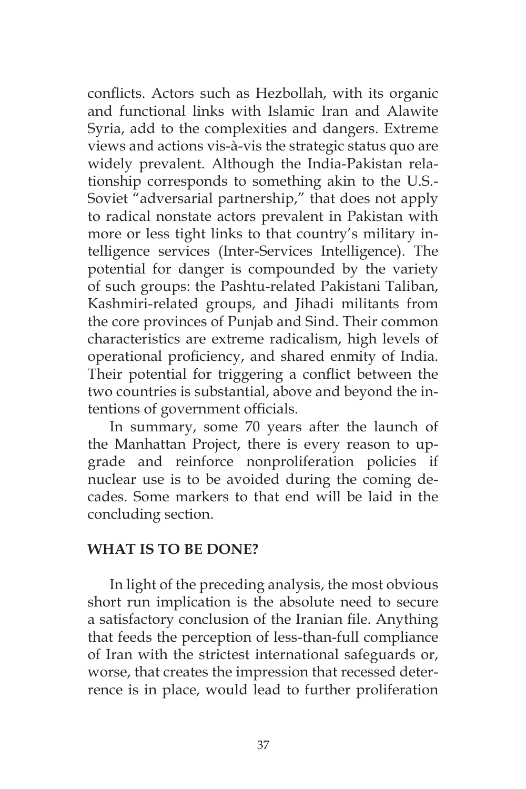conflicts. Actors such as Hezbollah, with its organic and functional links with Islamic Iran and Alawite Syria, add to the complexities and dangers. Extreme views and actions vis-à-vis the strategic status quo are widely prevalent. Although the India-Pakistan relationship corresponds to something akin to the U.S.- Soviet "adversarial partnership," that does not apply to radical nonstate actors prevalent in Pakistan with more or less tight links to that country's military intelligence services (Inter-Services Intelligence). The potential for danger is compounded by the variety of such groups: the Pashtu-related Pakistani Taliban, Kashmiri-related groups, and Jihadi militants from the core provinces of Punjab and Sind. Their common characteristics are extreme radicalism, high levels of operational proficiency, and shared enmity of India. Their potential for triggering a conflict between the two countries is substantial, above and beyond the intentions of government officials.

In summary, some 70 years after the launch of the Manhattan Project, there is every reason to upgrade and reinforce nonproliferation policies if nuclear use is to be avoided during the coming decades. Some markers to that end will be laid in the concluding section.

### **WHAT IS TO BE DONE?**

In light of the preceding analysis, the most obvious short run implication is the absolute need to secure a satisfactory conclusion of the Iranian file. Anything that feeds the perception of less-than-full compliance of Iran with the strictest international safeguards or, worse, that creates the impression that recessed deterrence is in place, would lead to further proliferation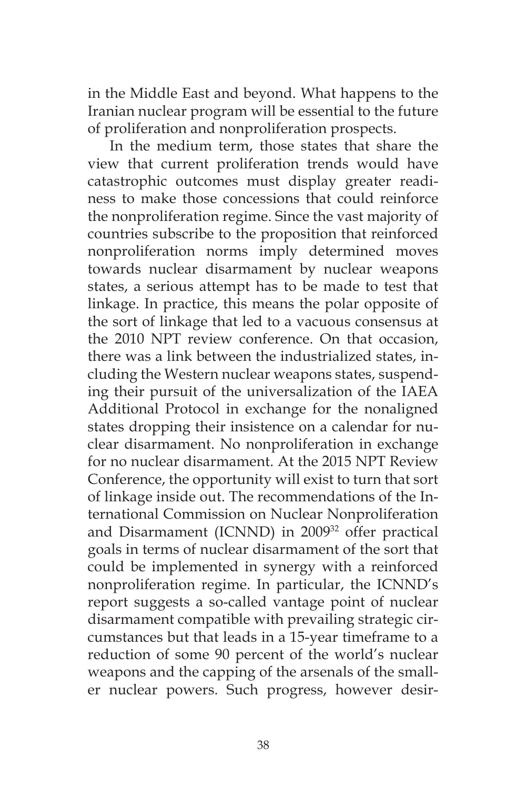in the Middle East and beyond. What happens to the Iranian nuclear program will be essential to the future of proliferation and nonproliferation prospects.

In the medium term, those states that share the view that current proliferation trends would have catastrophic outcomes must display greater readiness to make those concessions that could reinforce the nonproliferation regime. Since the vast majority of countries subscribe to the proposition that reinforced nonproliferation norms imply determined moves towards nuclear disarmament by nuclear weapons states, a serious attempt has to be made to test that linkage. In practice, this means the polar opposite of the sort of linkage that led to a vacuous consensus at the 2010 NPT review conference. On that occasion, there was a link between the industrialized states, including the Western nuclear weapons states, suspending their pursuit of the universalization of the IAEA Additional Protocol in exchange for the nonaligned states dropping their insistence on a calendar for nuclear disarmament. No nonproliferation in exchange for no nuclear disarmament. At the 2015 NPT Review Conference, the opportunity will exist to turn that sort of linkage inside out. The recommendations of the International Commission on Nuclear Nonproliferation and Disarmament (ICNND) in 2009<sup>32</sup> offer practical goals in terms of nuclear disarmament of the sort that could be implemented in synergy with a reinforced nonproliferation regime. In particular, the ICNND's report suggests a so-called vantage point of nuclear disarmament compatible with prevailing strategic circumstances but that leads in a 15-year timeframe to a reduction of some 90 percent of the world's nuclear weapons and the capping of the arsenals of the smaller nuclear powers. Such progress, however desir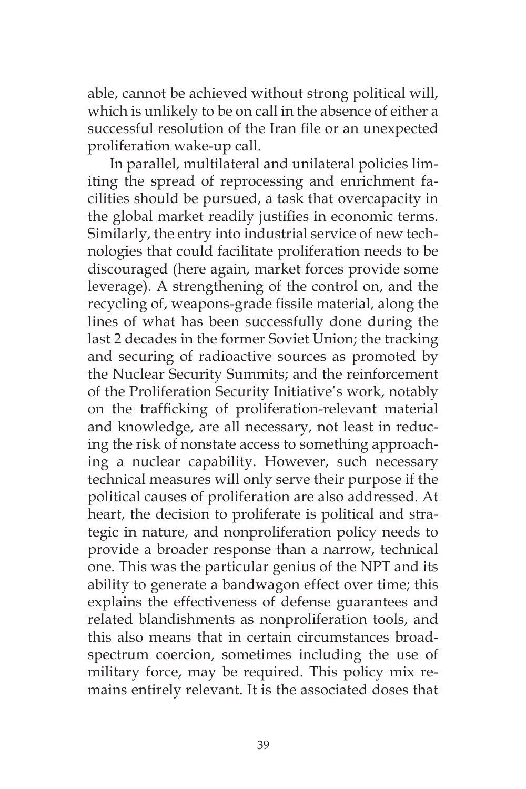able, cannot be achieved without strong political will, which is unlikely to be on call in the absence of either a successful resolution of the Iran file or an unexpected proliferation wake-up call.

In parallel, multilateral and unilateral policies limiting the spread of reprocessing and enrichment facilities should be pursued, a task that overcapacity in the global market readily justifies in economic terms. Similarly, the entry into industrial service of new technologies that could facilitate proliferation needs to be discouraged (here again, market forces provide some leverage). A strengthening of the control on, and the recycling of, weapons-grade fissile material, along the lines of what has been successfully done during the last 2 decades in the former Soviet Union; the tracking and securing of radioactive sources as promoted by the Nuclear Security Summits; and the reinforcement of the Proliferation Security Initiative's work, notably on the trafficking of proliferation-relevant material and knowledge, are all necessary, not least in reducing the risk of nonstate access to something approaching a nuclear capability. However, such necessary technical measures will only serve their purpose if the political causes of proliferation are also addressed. At heart, the decision to proliferate is political and strategic in nature, and nonproliferation policy needs to provide a broader response than a narrow, technical one. This was the particular genius of the NPT and its ability to generate a bandwagon effect over time; this explains the effectiveness of defense guarantees and related blandishments as nonproliferation tools, and this also means that in certain circumstances broadspectrum coercion, sometimes including the use of military force, may be required. This policy mix remains entirely relevant. It is the associated doses that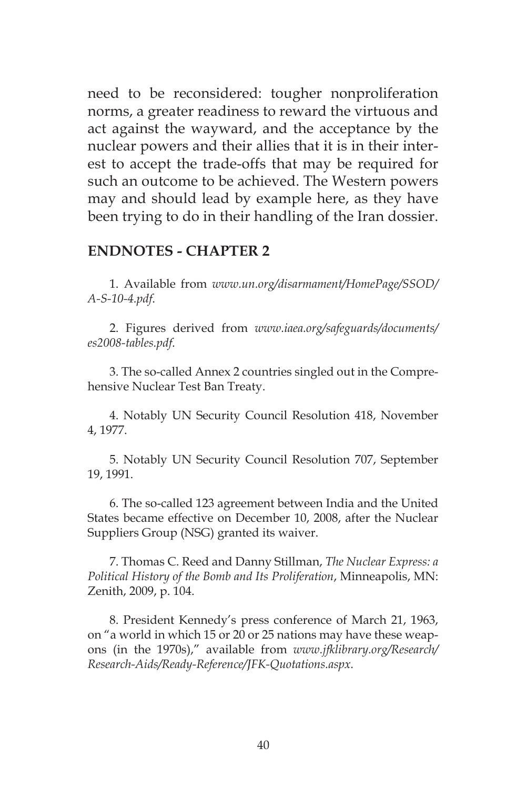need to be reconsidered: tougher nonproliferation norms, a greater readiness to reward the virtuous and act against the wayward, and the acceptance by the nuclear powers and their allies that it is in their interest to accept the trade-offs that may be required for such an outcome to be achieved. The Western powers may and should lead by example here, as they have been trying to do in their handling of the Iran dossier.

#### **ENDNOTES - CHAPTER 2**

1. Available from *www.un.org/disarmament/HomePage/SSOD/ A-S-10-4.pdf*.

2. Figures derived from *www.iaea.org/safeguards/documents/ es2008-tables.pdf*.

3. The so-called Annex 2 countries singled out in the Comprehensive Nuclear Test Ban Treaty.

4. Notably UN Security Council Resolution 418, November 4, 1977.

5. Notably UN Security Council Resolution 707, September 19, 1991.

6. The so-called 123 agreement between India and the United States became effective on December 10, 2008, after the Nuclear Suppliers Group (NSG) granted its waiver.

7. Thomas C. Reed and Danny Stillman, *The Nuclear Express: a Political History of the Bomb and Its Proliferation*, Minneapolis, MN: Zenith, 2009, p. 104.

8. President Kennedy's press conference of March 21, 1963, on "a world in which 15 or 20 or 25 nations may have these weapons (in the 1970s)," available from *www.jfklibrary.org/Research/ Research-Aids/Ready-Reference/JFK-Quotations.aspx.*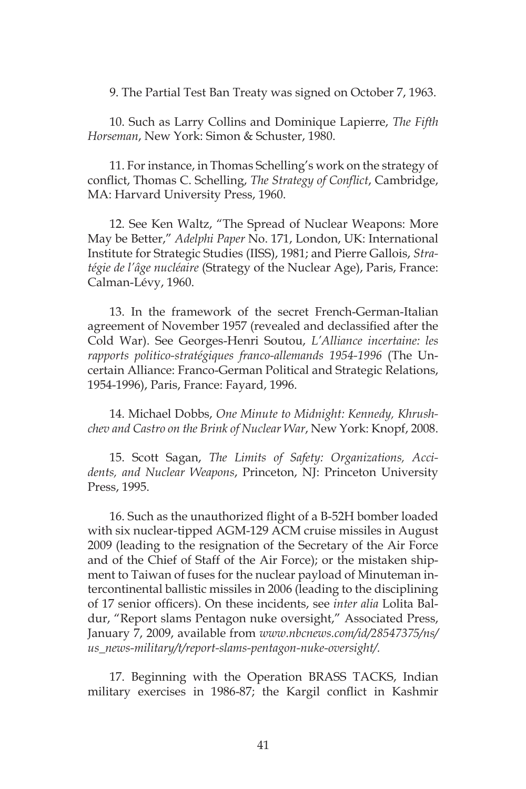9. The Partial Test Ban Treaty was signed on October 7, 1963.

10. Such as Larry Collins and Dominique Lapierre, *The Fifth Horseman*, New York: Simon & Schuster, 1980.

11. For instance, in Thomas Schelling's work on the strategy of conflict, Thomas C. Schelling, *The Strategy of Conflict*, Cambridge, MA: Harvard University Press, 1960.

12. See Ken Waltz, "The Spread of Nuclear Weapons: More May be Better," *Adelphi Paper* No. 171, London, UK: International Institute for Strategic Studies (IISS), 1981; and Pierre Gallois, *Stratégie de l'âge nucléaire* (Strategy of the Nuclear Age), Paris, France: Calman-Lévy, 1960.

13. In the framework of the secret French-German-Italian agreement of November 1957 (revealed and declassified after the Cold War). See Georges-Henri Soutou, *L'Alliance incertaine: les rapports politico-stratégiques franco-allemands 1954-1996* (The Uncertain Alliance: Franco-German Political and Strategic Relations, 1954-1996), Paris, France: Fayard, 1996.

14. Michael Dobbs, *One Minute to Midnight: Kennedy, Khrushchev and Castro on the Brink of Nuclear War*, New York: Knopf, 2008.

15. Scott Sagan, *The Limits of Safety: Organizations, Accidents, and Nuclear Weapons*, Princeton, NJ: Princeton University Press, 1995.

16. Such as the unauthorized flight of a B-52H bomber loaded with six nuclear-tipped AGM-129 ACM cruise missiles in August 2009 (leading to the resignation of the Secretary of the Air Force and of the Chief of Staff of the Air Force); or the mistaken shipment to Taiwan of fuses for the nuclear payload of Minuteman intercontinental ballistic missiles in 2006 (leading to the disciplining of 17 senior officers). On these incidents, see *inter alia* Lolita Baldur, "Report slams Pentagon nuke oversight," Associated Press, January 7, 2009, available from *www.nbcnews.com/id/28547375/ns/ us\_news-military/t/report-slams-pentagon-nuke-oversight/.*

17. Beginning with the Operation BRASS TACKS, Indian military exercises in 1986-87; the Kargil conflict in Kashmir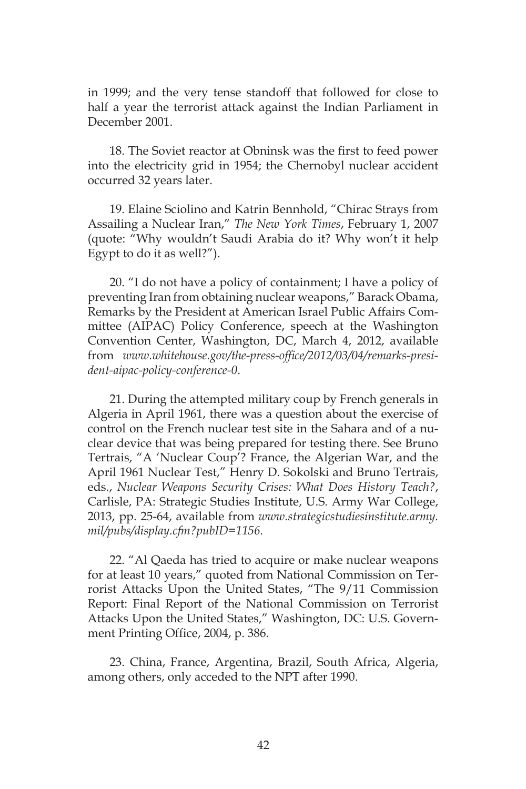in 1999; and the very tense standoff that followed for close to half a year the terrorist attack against the Indian Parliament in December 2001.

18. The Soviet reactor at Obninsk was the first to feed power into the electricity grid in 1954; the Chernobyl nuclear accident occurred 32 years later.

19. Elaine Sciolino and Katrin Bennhold, "Chirac Strays from Assailing a Nuclear Iran," *The New York Times*, February 1, 2007 (quote: "Why wouldn't Saudi Arabia do it? Why won't it help Egypt to do it as well?").

20. "I do not have a policy of containment; I have a policy of preventing Iran from obtaining nuclear weapons," Barack Obama, Remarks by the President at American Israel Public Affairs Committee (AIPAC) Policy Conference, speech at the Washington Convention Center, Washington, DC, March 4, 2012, available from *www.whitehouse.gov/the-press-office/2012/03/04/remarks-president-aipac-policy-conference-0*.

21. During the attempted military coup by French generals in Algeria in April 1961, there was a question about the exercise of control on the French nuclear test site in the Sahara and of a nuclear device that was being prepared for testing there. See Bruno Tertrais, "A 'Nuclear Coup'? France, the Algerian War, and the April 1961 Nuclear Test," Henry D. Sokolski and Bruno Tertrais, eds., *Nuclear Weapons Security Crises: What Does History Teach?*, Carlisle, PA: Strategic Studies Institute, U.S. Army War College, 2013, pp. 25-64, available from *www.strategicstudiesinstitute.army. mil/pubs/display.cfm?pubID=1156.*

22. "Al Qaeda has tried to acquire or make nuclear weapons for at least 10 years," quoted from National Commission on Terrorist Attacks Upon the United States, "The 9/11 Commission Report: Final Report of the National Commission on Terrorist Attacks Upon the United States," Washington, DC: U.S. Government Printing Office, 2004, p. 386.

23. China, France, Argentina, Brazil, South Africa, Algeria, among others, only acceded to the NPT after 1990.